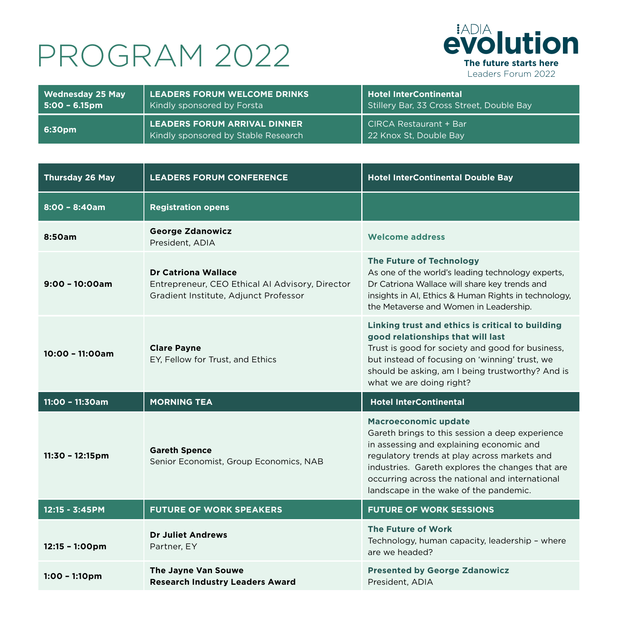## **PROGRAM 2022**



| Wednesday 25 May | <b>LEADERS FORUM WELCOME DRINKS</b>                                 | Hotel InterContinental                           |
|------------------|---------------------------------------------------------------------|--------------------------------------------------|
| l 5:00 – 6.15pm  | Kindly sponsored by Forsta                                          | Stillery Bar, 33 Cross Street, Double Bay        |
| 6:30pm           | LEADERS FORUM ARRIVAL DINNER<br>Kindly sponsored by Stable Research | CIRCA Restaurant + Bar<br>22 Knox St, Double Bay |

| <b>Thursday 26 May</b>   | <b>LEADERS FORUM CONFERENCE</b>                                                                                        | <b>Hotel InterContinental Double Bay</b>                                                                                                                                                                                                                                                                                    |
|--------------------------|------------------------------------------------------------------------------------------------------------------------|-----------------------------------------------------------------------------------------------------------------------------------------------------------------------------------------------------------------------------------------------------------------------------------------------------------------------------|
| $8:00 - 8:40am$          | <b>Registration opens</b>                                                                                              |                                                                                                                                                                                                                                                                                                                             |
| 8:50am                   | <b>George Zdanowicz</b><br>President, ADIA                                                                             | <b>Welcome address</b>                                                                                                                                                                                                                                                                                                      |
| $9:00 - 10:00am$         | <b>Dr Catriona Wallace</b><br>Entrepreneur, CEO Ethical AI Advisory, Director<br>Gradient Institute, Adjunct Professor | The Future of Technology<br>As one of the world's leading technology experts,<br>Dr Catriona Wallace will share key trends and<br>insights in AI, Ethics & Human Rights in technology,<br>the Metaverse and Women in Leadership.                                                                                            |
| 10:00 - 11:00am          | <b>Clare Payne</b><br>EY, Fellow for Trust, and Ethics                                                                 | Linking trust and ethics is critical to building<br>good relationships that will last<br>Trust is good for society and good for business,<br>but instead of focusing on 'winning' trust, we<br>should be asking, am I being trustworthy? And is                                                                             |
|                          |                                                                                                                        | what we are doing right?                                                                                                                                                                                                                                                                                                    |
| $11:00 - 11:30am$        | <b>MORNING TEA</b>                                                                                                     | <b>Hotel InterContinental</b>                                                                                                                                                                                                                                                                                               |
| 11:30 - 12:15pm          | <b>Gareth Spence</b><br>Senior Economist, Group Economics, NAB                                                         | <b>Macroeconomic update</b><br>Gareth brings to this session a deep experience<br>in assessing and explaining economic and<br>regulatory trends at play across markets and<br>industries. Gareth explores the changes that are<br>occurring across the national and international<br>landscape in the wake of the pandemic. |
| 12:15 - 3:45PM           | <b>FUTURE OF WORK SPEAKERS</b>                                                                                         | <b>FUTURE OF WORK SESSIONS</b>                                                                                                                                                                                                                                                                                              |
| $12:15 - 1:00 \text{pm}$ | <b>Dr Juliet Andrews</b><br>Partner, EY                                                                                | The Future of Work<br>Technology, human capacity, leadership - where<br>are we headed?                                                                                                                                                                                                                                      |